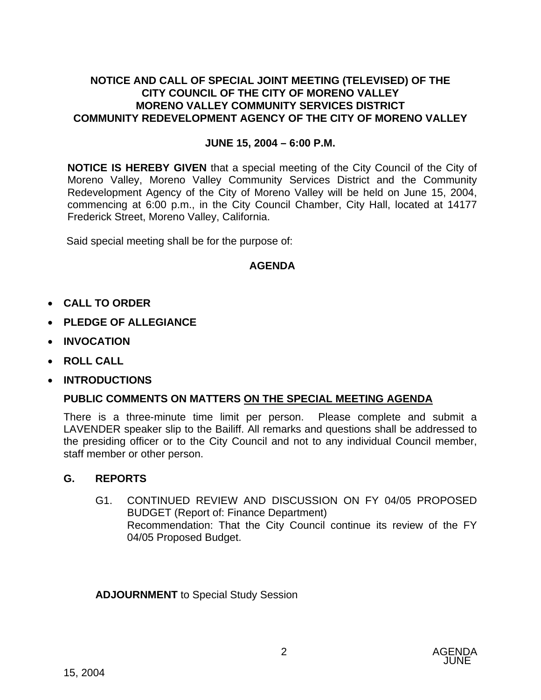# **NOTICE AND CALL OF SPECIAL JOINT MEETING (TELEVISED) OF THE CITY COUNCIL OF THE CITY OF MORENO VALLEY MORENO VALLEY COMMUNITY SERVICES DISTRICT COMMUNITY REDEVELOPMENT AGENCY OF THE CITY OF MORENO VALLEY**

#### **JUNE 15, 2004 – 6:00 P.M.**

**NOTICE IS HEREBY GIVEN** that a special meeting of the City Council of the City of Moreno Valley, Moreno Valley Community Services District and the Community Redevelopment Agency of the City of Moreno Valley will be held on June 15, 2004, commencing at 6:00 p.m., in the City Council Chamber, City Hall, located at 14177 Frederick Street, Moreno Valley, California.

Said special meeting shall be for the purpose of:

# **AGENDA**

- **CALL TO ORDER**
- **PLEDGE OF ALLEGIANCE**
- **INVOCATION**
- **ROLL CALL**
- **INTRODUCTIONS**

#### **PUBLIC COMMENTS ON MATTERS ON THE SPECIAL MEETING AGENDA**

There is a three-minute time limit per person. Please complete and submit a LAVENDER speaker slip to the Bailiff. All remarks and questions shall be addressed to the presiding officer or to the City Council and not to any individual Council member, staff member or other person.

#### **G. REPORTS**

G1. CONTINUED REVIEW AND DISCUSSION ON FY 04/05 PROPOSED BUDGET (Report of: Finance Department) Recommendation: That the City Council continue its review of the FY 04/05 Proposed Budget.

**ADJOURNMENT** to Special Study Session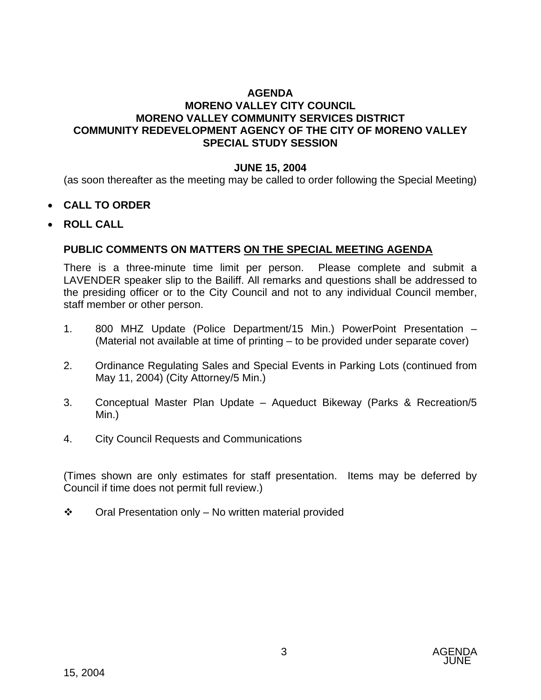## **AGENDA MORENO VALLEY CITY COUNCIL MORENO VALLEY COMMUNITY SERVICES DISTRICT COMMUNITY REDEVELOPMENT AGENCY OF THE CITY OF MORENO VALLEY SPECIAL STUDY SESSION**

## **JUNE 15, 2004**

(as soon thereafter as the meeting may be called to order following the Special Meeting)

- **CALL TO ORDER**
- **ROLL CALL**

# **PUBLIC COMMENTS ON MATTERS ON THE SPECIAL MEETING AGENDA**

There is a three-minute time limit per person. Please complete and submit a LAVENDER speaker slip to the Bailiff. All remarks and questions shall be addressed to the presiding officer or to the City Council and not to any individual Council member, staff member or other person.

- 1. 800 MHZ Update (Police Department/15 Min.) PowerPoint Presentation (Material not available at time of printing – to be provided under separate cover)
- 2. Ordinance Regulating Sales and Special Events in Parking Lots (continued from May 11, 2004) (City Attorney/5 Min.)
- 3. Conceptual Master Plan Update Aqueduct Bikeway (Parks & Recreation/5 Min.)
- 4. City Council Requests and Communications

(Times shown are only estimates for staff presentation. Items may be deferred by Council if time does not permit full review.)

 $\div$  Oral Presentation only – No written material provided